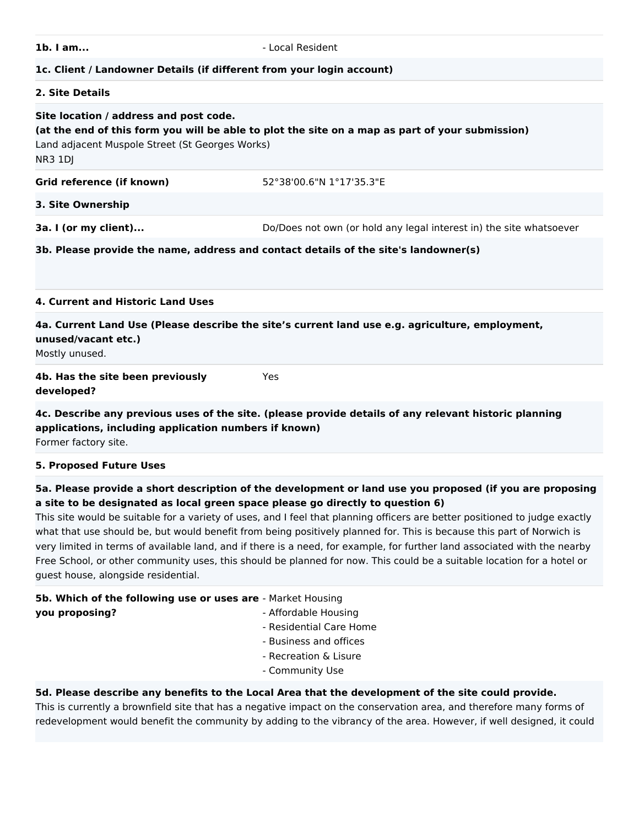| $1b.$ I am |
|------------|
|------------|

**1b. I am...** - Local Resident

### **1c. Client / Landowner Details (if different from your login account)**

#### **2. Site Details**

| Site location / address and post code.<br>(at the end of this form you will be able to plot the site on a map as part of your submission)<br>Land adjacent Muspole Street (St Georges Works)<br><b>NR3 1DJ</b> |                                                                                                 |  |
|----------------------------------------------------------------------------------------------------------------------------------------------------------------------------------------------------------------|-------------------------------------------------------------------------------------------------|--|
| Grid reference (if known)                                                                                                                                                                                      | 52°38'00.6"N 1°17'35.3"E                                                                        |  |
| 3. Site Ownership                                                                                                                                                                                              |                                                                                                 |  |
| 3a. I (or my client)                                                                                                                                                                                           | Do/Does not own (or hold any legal interest in) the site whatsoever                             |  |
| 3b. Please provide the name, address and contact details of the site's landowner(s)                                                                                                                            |                                                                                                 |  |
| 4. Current and Historic Land Uses                                                                                                                                                                              |                                                                                                 |  |
| unused/vacant etc.)<br>Mostly unused.                                                                                                                                                                          | 4a. Current Land Use (Please describe the site's current land use e.g. agriculture, employment, |  |
| 4b. Has the site been previously<br>developed?                                                                                                                                                                 | <b>Yes</b>                                                                                      |  |
| 4c. Describe any previous uses of the site. (please provide details of any relevant historic planning<br>applications, including application numbers if known)<br>Former factory site.                         |                                                                                                 |  |
| <b>5. Proposed Future Uses</b>                                                                                                                                                                                 |                                                                                                 |  |
| 5a. Please provide a short description of the development or land use you proposed (if you are proposing                                                                                                       |                                                                                                 |  |

#### **a site to be designated as local green space please go directly to question 6)**

This site would be suitable for a variety of uses, and I feel that planning officers are better positioned to judge exactly what that use should be, but would benefit from being positively planned for. This is because this part of Norwich is very limited in terms of available land, and if there is a need, for example, for further land associated with the nearby Free School, or other community uses, this should be planned for now. This could be a suitable location for a hotel or guest house, alongside residential.

| 5b. Which of the following use or uses are - Market Housing |                         |
|-------------------------------------------------------------|-------------------------|
| vou proposing?                                              | - Affordable Housing    |
|                                                             | - Residential Care Home |
|                                                             | - Business and offices  |
|                                                             | - Recreation & Lisure   |
|                                                             | - Community Use         |

#### **5d. Please describe any benefits to the Local Area that the development of the site could provide.**

This is currently a brownfield site that has a negative impact on the conservation area, and therefore many forms of redevelopment would benefit the community by adding to the vibrancy of the area. However, if well designed, it could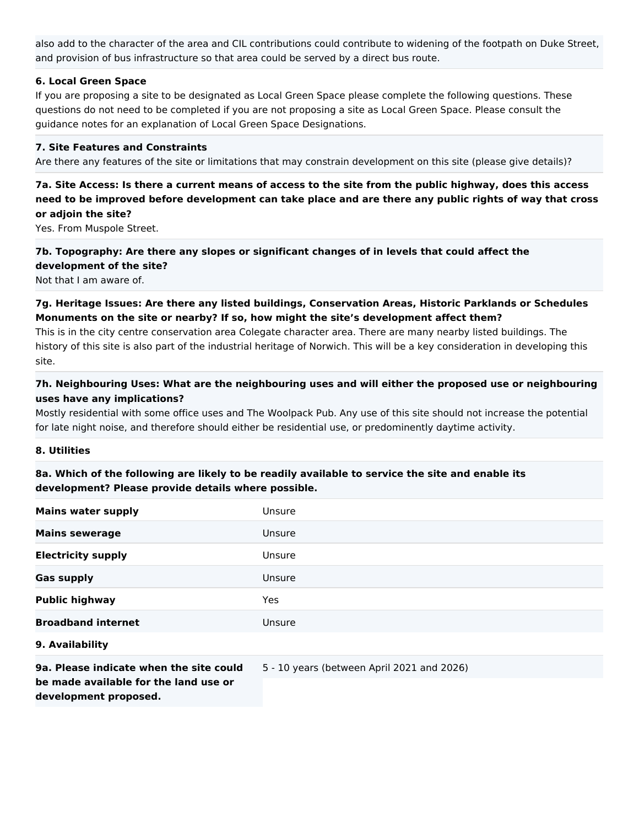also add to the character of the area and CIL contributions could contribute to widening of the footpath on Duke Street, and provision of bus infrastructure so that area could be served by a direct bus route.

#### **6. Local Green Space**

If you are proposing a site to be designated as Local Green Space please complete the following questions. These questions do not need to be completed if you are not proposing a site as Local Green Space. Please consult the guidance notes for an explanation of Local Green Space Designations.

#### **7. Site Features and Constraints**

Are there any features of the site or limitations that may constrain development on this site (please give details)?

# **7a. Site Access: Is there a current means of access to the site from the public highway, does this access need to be improved before development can take place and are there any public rights of way that cross or adjoin the site?**

Yes. From Muspole Street.

# **7b. Topography: Are there any slopes or significant changes of in levels that could affect the development of the site?**

Not that I am aware of.

# **7g. Heritage Issues: Are there any listed buildings, Conservation Areas, Historic Parklands or Schedules Monuments on the site or nearby? If so, how might the site's development affect them?**

This is in the city centre conservation area Colegate character area. There are many nearby listed buildings. The history of this site is also part of the industrial heritage of Norwich. This will be a key consideration in developing this site.

# **7h. Neighbouring Uses: What are the neighbouring uses and will either the proposed use or neighbouring uses have any implications?**

Mostly residential with some office uses and The Woolpack Pub. Any use of this site should not increase the potential for late night noise, and therefore should either be residential use, or predominently daytime activity.

#### **8. Utilities**

## **8a. Which of the following are likely to be readily available to service the site and enable its development? Please provide details where possible.**

| <b>Mains water supply</b>                                      | Unsure                                     |
|----------------------------------------------------------------|--------------------------------------------|
| <b>Mains sewerage</b>                                          | Unsure                                     |
| <b>Electricity supply</b>                                      | Unsure                                     |
| <b>Gas supply</b>                                              | Unsure                                     |
| <b>Public highway</b>                                          | <b>Yes</b>                                 |
| <b>Broadband internet</b>                                      | Unsure                                     |
| 9. Availability                                                |                                            |
| 9a. Please indicate when the site could                        | 5 - 10 years (between April 2021 and 2026) |
| be made available for the land use or<br>development proposed. |                                            |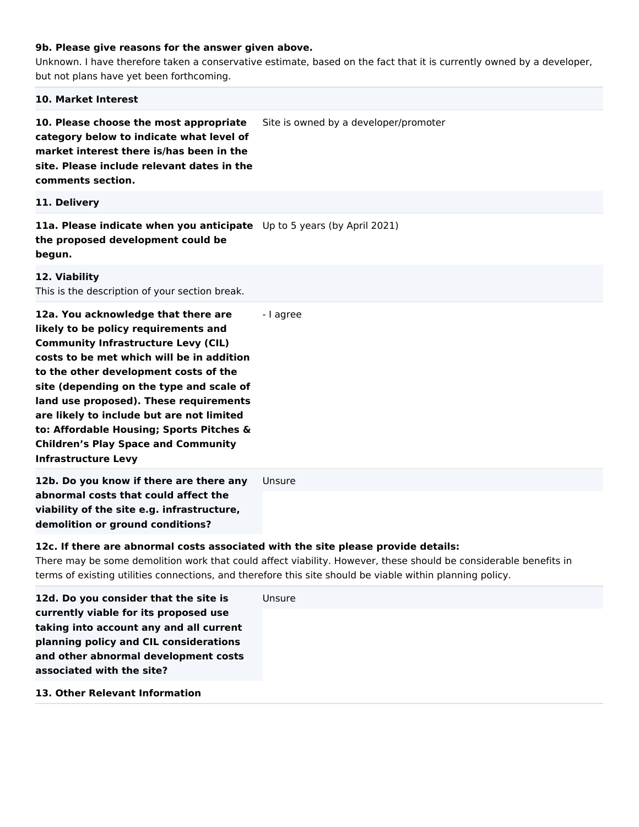#### **9b. Please give reasons for the answer given above.**

Unknown. I have therefore taken a conservative estimate, based on the fact that it is currently owned by a developer, but not plans have yet been forthcoming.

# **10. Market Interest 10. Please choose the most appropriate category below to indicate what level of market interest there is/has been in the site. Please include relevant dates in the comments section.** Site is owned by a developer/promoter **11. Delivery 11a. Please indicate when you anticipate**  Up to 5 years (by April 2021) **the proposed development could be**

#### **begun.**

#### **12. Viability**

This is the description of your section break.

**12a. You acknowledge that there are likely to be policy requirements and Community Infrastructure Levy (CIL) costs to be met which will be in addition to the other development costs of the site (depending on the type and scale of land use proposed). These requirements are likely to include but are not limited to: Affordable Housing; Sports Pitches & Children's Play Space and Community Infrastructure Levy** - I agree

**12b. Do you know if there are there any abnormal costs that could affect the viability of the site e.g. infrastructure, demolition or ground conditions?** Unsure

#### **12c. If there are abnormal costs associated with the site please provide details:**

There may be some demolition work that could affect viability. However, these should be considerable benefits in terms of existing utilities connections, and therefore this site should be viable within planning policy.

| 12d. Do you consider that the site is   | Unsure |
|-----------------------------------------|--------|
| currently viable for its proposed use   |        |
| taking into account any and all current |        |
| planning policy and CIL considerations  |        |
| and other abnormal development costs    |        |
| associated with the site?               |        |
| 13. Other Relevant Information          |        |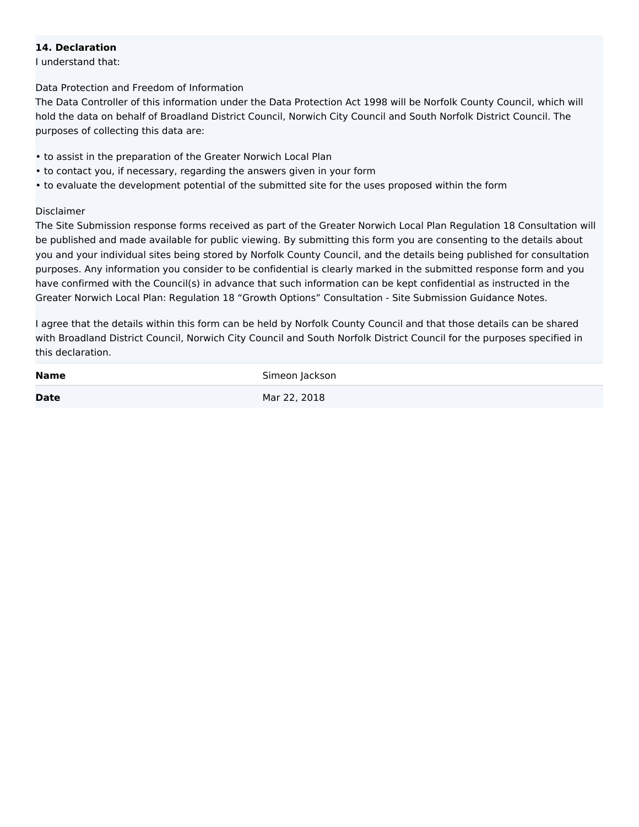## **14. Declaration**

I understand that:

Data Protection and Freedom of Information

The Data Controller of this information under the Data Protection Act 1998 will be Norfolk County Council, which will hold the data on behalf of Broadland District Council, Norwich City Council and South Norfolk District Council. The purposes of collecting this data are:

- to assist in the preparation of the Greater Norwich Local Plan
- to contact you, if necessary, regarding the answers given in your form
- to evaluate the development potential of the submitted site for the uses proposed within the form

#### Disclaimer

The Site Submission response forms received as part of the Greater Norwich Local Plan Regulation 18 Consultation will be published and made available for public viewing. By submitting this form you are consenting to the details about you and your individual sites being stored by Norfolk County Council, and the details being published for consultation purposes. Any information you consider to be confidential is clearly marked in the submitted response form and you have confirmed with the Council(s) in advance that such information can be kept confidential as instructed in the Greater Norwich Local Plan: Regulation 18 "Growth Options" Consultation - Site Submission Guidance Notes.

I agree that the details within this form can be held by Norfolk County Council and that those details can be shared with Broadland District Council, Norwich City Council and South Norfolk District Council for the purposes specified in this declaration.

| <b>Name</b> | Simeon Jackson |
|-------------|----------------|
| <b>Date</b> | Mar 22, 2018   |